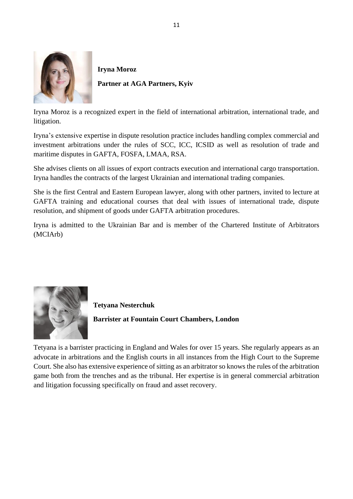

# **ANNUAL ARBITRATION CONFERENCE**

# **of the Ukrainian Arbitration Association**

# **26-27 May 2021**



# **PROGRAM AND SPEAKERS' PROFILES**

Link for **[Registration](http://bit.ly/3qyQCUn)**

Links to join the Conference: **[DAY 1](https://kiev.us7.list-manage.com/track/click?u=2bb1d9f621d2b07cf035a3ba6&id=561cf01af0&e=71a04d7b48)** (26 May) та **[DAY 2](https://kiev.us7.list-manage.com/track/click?u=2bb1d9f621d2b07cf035a3ba6&id=e8b5326ce9&e=71a04d7b48)** (27 May)

Link to join **[networking](https://us02web.zoom.us/j/87256666095)** (26 May)

 $\boxtimes \oplus \textbf{S}$  fin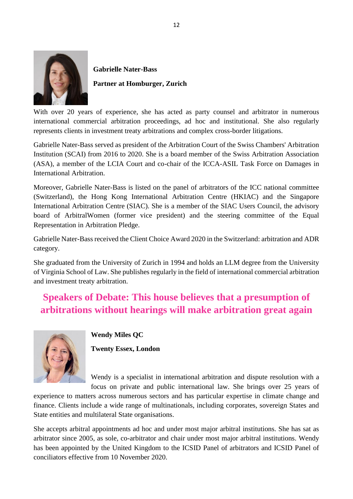# **About Ukrainian Arbitration Association**

**The Ukrainian Arbitration Association (UAA or Association)** is a non-profit NGO that brings together lawyers, regardless of their belonging to a particular jurisdiction, who are professionally engaged or interested in international arbitration.

Established in 2012, the UAA has become the main driving force promoting Ukraine and, in particular, Kyiv as a venue for international arbitration, promoting greater usage of international arbitration in Ukraine, establishing arbitration-friendly environment in Ukraine, expanding knowledge and exchange of experience, as well as enhancing cooperation among arbitration practitioners from around the world.

The UAA is not an arbitration institution. It actively cooperates with the leading arbitration institutions in various jurisdictions.

UAA intends to provide assistance to *ad hoc* arbitration.

In 2021, UAA has over **100 members** from **11 jurisdictions.**

### **About UAA Annual Arbitration Conference**

On 26-27 May 2021 UAA holds its inaugural Annual Arbitration Conference in online format.

The language of the conference is English (without translation). Time of the program is Kyiv time.

### **Program of the UAA Annual Arbitration Conference**

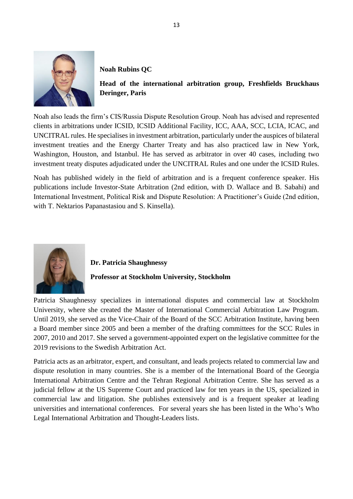# **Keynote speaker of the UAA Annual Arbitration Conference**



**Alexis Mourre**

**President of the ICC International Court of Arbitration, Paris**

Alexis Mourre has served as parties' counsel, President of the Tribunal, Co-Arbitrator, Sole Arbitrator or Expert in more than 260 international arbitrations, both ad hoc and before most international arbitral institutions (ICC, ICSID, LCIA, ICDR, SIAC, SCC, DIAC, VIAC, etc.). He established his own arbitration practice in May 2015, after having founded Castaldi Mourre & Partners in 1996, now a 35 lawyer firm specializing in arbitration and dispute resolution.

He is the author of numerous books and publications in the field of International Business Law, Private International Law and Arbitration Law. He is founder and former editor in chief of Les Cahiers de l'Arbitrage – The Paris Journal of International Arbitration, a leading French publication in the field of Arbitration.

Since July 1st 2015, Alexis Mourre has been the President of the ICC International Court of Arbitration, and was Vice-President of the Court from 2009 to 2015. He was Vice President of the ICC Institute of World Business Law from 2011 to 2015. Formerly, he had served as co-chair of the IBA Arbitration Committee (2012-2013), LCIA Court member (2012-2015) and Council member of the Milan International Chamber of Arbitration (2006-2014). He is a member of a large number of scientific and professional institutions dedicated to Arbitration and Private International Law. He is the founder and former president of Paris Place d'Arbitrage/Paris the Home of International Arbitration.

He is fluent in French, English, Italian and Spanish, and has a working knowledge of Portuguese.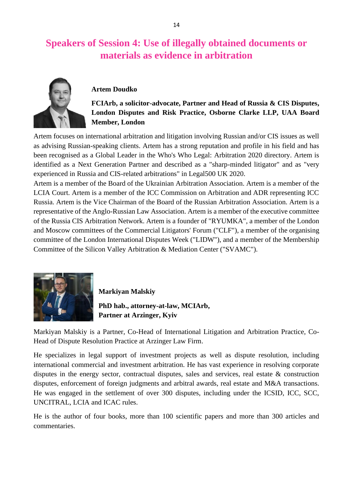# **Speakers of the UAA Annual Arbitration Conference**



**Olena Perepelynska**

**President of the Ukrainian Arbitration Association, Partner, Head of Arbitration Practice, INTEGRITES, Kyiv**

Olena is a Partner and Head of Arbitration Practice at INTEGRITES. She has acted as counsel in about 90 arbitrations under the Arbitration Rules of the ICC, SCC, LCIA, SCAI, ICAC and MAC at UCCI, ICAC at CCIRF, GAFTA, FOSFA, LMAA, UNCITRAL and others. She has also acted as arbitrator in more than 50 arbitrations seated in Almaty, Bishkek, Kyiv, London, Minsk, Paris and Stockholm.

Olena Perepelynska serves as President of the Ukrainian Arbitration Association, Member of the ICC International Court of Arbitration in Paris, Member of the TIAC Court of Arbitration, Board Member of the Arbitration Court "Chamber of Arbitrators" in Minsk and Member of the Global Steering Committee of the ERA-PLEDGE.

Olena is admitted to the Ukrainian Bar and chairs the ADR committee of the Ukrainian National Bar Association. She is a Fellow of the Chartered Institute of Arbitrators (FCIArb) and member of its the Approved Faculty List. Olena is fluent in Ukrainian, Russian, English and Spanish, has working knowledge of German, and speaks basic French.

### **Speakers of Session 1: Access to Arbitration**



#### **Anna Guillard Sazhko**

**Associate, International Arbitration practice, Shearman & Sterling, Paris, UAA Board Member**

Anna has extensive experience in international arbitrations under the ICSID, UNCITRAL, SCC and ICC Rules with a particular focus on Ukraine and the CIS region.

Anna is a Board Member of the Ukrainian Arbitration Association, member of the Executive Committee and Coordinator of the Mentorship Program at Young ISTAC, founding member of Nash Arbitrazh, member of the ICC Commission on Arbitration and ADR, member of the Committee on Alternative Dispute Resolution of the Ukrainian National Bar Association (UNBA) and member of the Organizing Committee of the Eastern European Dispute Resolution Forum (EEDRF).

Anna is admitted to practice law in France and Ukraine and speaks English, French, Russian, Ukrainian and elementary Turkish.

Anna is recognized as a Future Leader in International Arbitration by Who's Who Legal.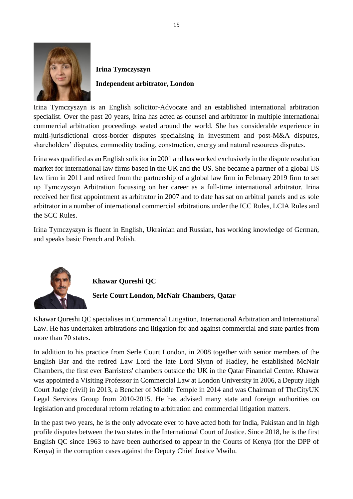

#### **Svitlana Romanova**

### **Chief Legal Officer at METINVEST HOLDING LLC, Kyiv**

Prior to joining METINVEST in 2012, Svitlana was a Partner at International legal company "Baker and McKenzie – CIS Limited" in Ukraine.

METINVEST legal team is the largest within Ukrainian private sector and embraces over 200 lawyers, including 32 lawyers working out of Group HQ in Kyiv. In her role, Svitlana is responsible for management of all Group's lawyers and legal matters, providing overall legal support of all METINVEST businesses in Ukraine, Europe and the US.

METINVEST legal team is regularly recognized as the best legal department of Ukraine and CIS, as well as included in GC POWERLIST: CENTRAL AND EASTERN EUROPE. Likewise, many inhouse lawyers at METINVEST received accolades as top professionals in their respective fields of practice.



**Maria Hauser-Morel Counsel, HANEFELD, Paris**

Maria Hauser-Morel is based in the Paris office of HANEFELD, a top tier international dispute resolution boutique firm with offices in Germany and France. She acts as counsel and arbitrator in international arbitration proceedings, focusing on construction & engineering (specifically FIDIC model contracts) disputes, energy disputes and disputes involving states and state entities.

Maria is a Polish qualified lawyer. She is also admitted to practice as *avocat* in France (Directive 98/5/EC). Maria holds a doctorate of law from the University of Wroclaw (Poland) and a Master of European and International Business Law of the University of Saint Gallen.

Prior to joining HANEFELD, Maria worked in a reputable Polish and international law firms as well as at the Secretariat of the ICC International Court of Arbitration. There, she headed the Case Management Team that primarily handles matters from Central and Eastern Europe, often involving sovereign States or State related entities.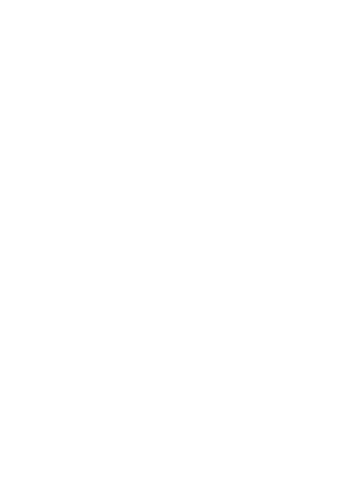

### **Prof. Dr. Ziya Akinci Founding Partner, Akinci Law Office, Istanbul**

Ziya Akinci, the founding partner of Akinci Law Office, carries out his duty as the President of Istanbul Arbitration Centre (ISTAC). Dr. Akinci served as a member of the ICC International Court of Arbitration and he is in list of ICSID Arbitrators Panel. He is also head of the International Private Law Division of Galatasaray University Faculty of Law.

Prof. Akinci focuses primarily on dispute resolution and has acted as counsel and sole arbitrator in many international proceedings, including international construction projects, energy projects, investment disputes, mergers and acquisitions, international commercial disputes.

Prof. Akinci has authored numerous publications on topics including but not limited to international arbitration, international construction law, applicable law to the contracts and the international carriage of goods by road.



#### **Rytis Valunas**

**Chief Administrative Officer & General Counsel at KN, Board Member at Baltpool, UVC, Vilnius** 

Rytis is a CAO & General Counsel at KN, a Lithuanian state-controlled energy company operating oil and LNG terminals. He previously led a legal team which was responsible for execution of Lithuania's LNG Terminal Project, a national strategic project. He has also worked as an attorney at law specializing in business dispute resolution and lectured on international trade law. Rytis has interned at the European Commission, Cabinet of Commissioner for Customs, Taxation and Antifraud and Embassy of Lithuania to the United States in Washington D.C. acting as energy policy adviser.

Rytis holds LL.M. Degree with focus on international energy policy and international trade law at The Fletcher School of Law and Diplomacy and Joint Master's Degree at Ghent University and Mykolas Romeris University. Rytis has also studied at Harvard Law School and Lund University. In 2015 Rytis received Lithuania's Lawyer of the Year 2015 Award by the In-House Lawyers Association. In the past four years he focused on additionally developing his career as a board member at private companies in energy and real estate. In 2018 he graduated with EMBA degree from the Baltic Management Institute.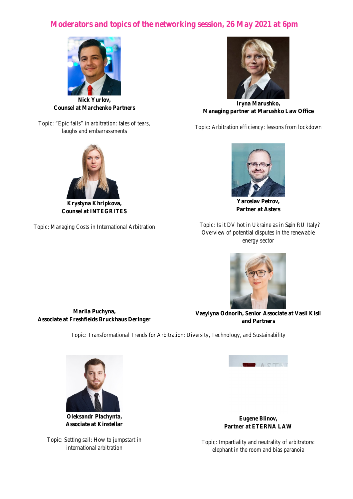### **Speakers of the UAA Special Presentations: Recognition and enforcement of arbitral awards – 2006-2020 Statistics for Ukraine**



#### **Serhii Uvarov**

### **UAA Secretary General, Partner at INTEGRITES, Kyiv**

Serhii Uvarov focuses on commercial and investment arbitration, arbitration-related litigation and cross-border commercial litigation. He advised clients on transnational insolvency and receivership, fraud investigation, including anti-bribery probes, as well as recognition and enforcement of foreign judicial and arbitral awards in Ukraine.

He represents the Ukrainian state authorities and state companies before foreign courts and international tribunals. He was involved in arbitral proceedings under LCIA, SCC, ICC, UNCITRAL, SIAC, JAMS, LMAA, ICAC at CCI оf the Russian Federation and ICAC at UCCI Arbitration Rules.

Serhii serves as a Secretary General of the Ukrainian Arbitration Association. He is also a co-chair of the working group conducting comprehensive analysis of the Ukrainian court practice since 2006, related to recognition and enforcement of arbitral awards. He is also a member of the board of the Alternative dispute resolution Committee of the Ukrainian Bar Association and arbitrator at Domestic Arbitration Court at the UCCI.



#### **Oleksii Maslov**

#### **Senior Associate with dispute resolution practice of AVELLUM, Kyiv**

Oleksii primarily focuses on international arbitration, including international commercial and investment arbitration, and cross-border litigation. Oleksii has strong expertise in M&A transactions and corporate law.

Oleksii regularly advises and represents international and Ukrainian clients in highprofile arbitrations under the Rules of the ICC, LCIA, ICSID, UNCITRAL and ICAC at the Ukrainian Chamber of Commerce and Industry. He also advises clients on complex crossborder litigations, involving such jurisdictions as Cyprus, the BVI, the UK and Ukraine. His recent experience includes representing an international investment company in a LCIA arbitration, advising Czech industrial manufacturer in 4 simultaneous arbitrations before the ICAC at UCI and advising large group of investors on a potential investment claim.

Oleksii is an active member of Ukrainian arbitration community and regularly participates in preparation of amicus curiae briefs for Ukrainian courts. He is a member of the Chartered Institute of Arbitrators (CIArb) and the Ukrainian Arbitration Association.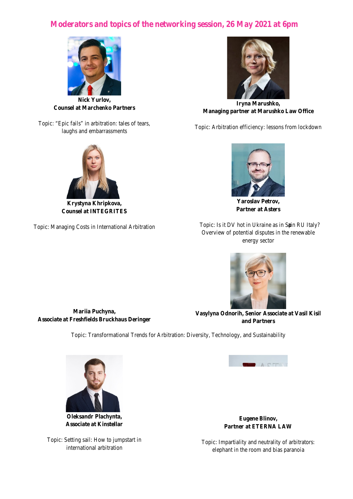### **Speakers of Session 2: Decision making in arbitration**



#### **Kostiantyn Pilkov**

**Supreme Court (Ukraine) Justice, Kyiv**

Supreme Court (Ukraine) Justice since 2017, associate professor at Kyiv National University for Trade and Economics, Department of international, civil and commercial law, senior research fellow at the Scientific Research Institute *of* Private Law *and* Entrepreneurship named after Academician F. Burchak of the National Academy *of* Legal Sciences of Ukraine

He has PhD in law, masters degrees in law and psychology.

Before his appointment as a member of the judiciary, Kostiantyn practiced arbitration as an attorney and an arbitrator listed by several arbitration institutions. His PhD thesis was focused on matters of evidence and proof in international commercial arbitration.

At the Supreme Court, Kostiantyn Pilkov authored several opinions that promoted arbitration.



**Prof. Catherine Rogers Professor of Law at Bocconi University, Milan**

Catherine Rogers is a Professor of Law at Bocconi University, and has a dual appointment at Queen Mary, University of London, where she also co-directs the Institute of Ethics, Regulation and Commercial Law. Her scholarship focuses on the convergence of the public and private in international adjudication, the intersection of markets and regulation in guiding professional conduct, and on the reconceptualization of the attorney as a global actor.

Professor Rogers is a Reporter for the American Law Institute's Restatement of the U.S. Law of International Commercial and Investor-State Arbitration. Among her research projects, Professor Rogers co-chaired the ICCA-Queen Mary Task Force on Third-Party Funding in International Arbitration, and is the founder of Arbitrator Intelligence, a global information aggregator and legal tech start-up.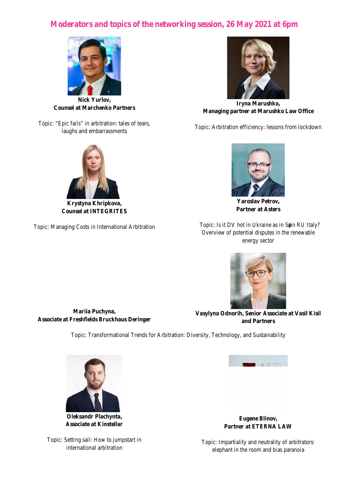

**Teresa Giovannini**

**Senior Counsel at LALIVE, Geneva**

Teresa Giovannini is a founding partner of LALIVE and now Senior Counsel specialising in international arbitration, as well as art law. She has participated in more than 200 international arbitrations, either *ad hoc*, in particular UNCITRAL, or administered by various institutions including AAA/ICDR, ICC, ICHEIC, ICSID, LCIA, SCC, Chamber of Commerce of Milan, Chamber of Commerce of Venice and Swiss Chambers (Geneva, Zürich and Ticino).

Teresa Giovannini is a member of the ICC Court of Arbitration and the ICC Commission on Arbitration and ADR since 1 July 2015. She was a member and vice-president of the LCIA Court from 2006 until 2011 and a member of the Arbitral Council of the Milan Chamber of Arbitration from 1997 to 2005.

She is currently a member of the global advisory board of the New York International Arbitration Centre (NYIAC), a member of the Council of the ICC Institute of World Business Law, the International Law Association Committee on Arbitration (Swiss Member), the Board of Directors of the American Arbitration Association, the Advisory Board of the Transnational Arbitration Association, the LCIA Company and the Club of Arbitrators of the Milan Chamber of National and International Arbitration. She furthermore presides the ICDR Committee on Ethics.



**Marc Henry**

**President of the French Arbitration Association, Partner at FTMS Avocats, Paris**

Marc Henry has been a lawyer in Paris for more than 30 years. He specializes in business litigation and arbitration (especially as an arbitrator). After 17 years of partnership in English and then American law firms, he joined FTMS Avocats, a prestigious French firm specializing in litigation and arbitration.

He is Doctor in Law and President of the French Arbitration Association. His PhD work on "The Duty of Independence of the Arbitrator" was published and awarded. He has a strong doctrinal involvement and is lecturing in several Master's courses in arbitration law and the art of advocacy.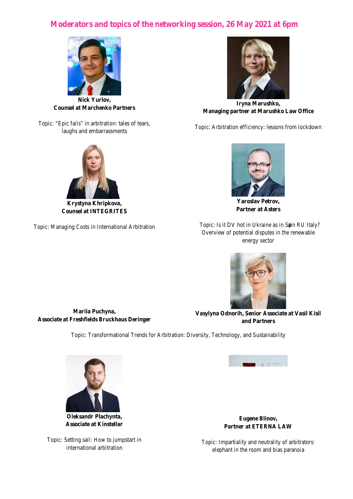### **Speakers of Session 3: Court assistance in taking of evidence in support of arbitration**



#### **Olexander Droug**

### **Partner at Sayenko Kharenko, UAA Board Member, Kyiv**

He is specializing in dispute resolution and restructuring with a special focus on arbitration and commercial litigation.

He advises local and foreign clients on all stages of dispute resolution proceedings, including in complex multi-jurisdictional proceedings involving Ukraine, UK, Cyprus, BVI, Switzerland, The Netherlands and other fora, as well as arbitration under arbitration rules of all major international arbitral institutions (LCIA, ICC, SCC), CIS-based arbitral institutions, ICSID Arbitration Rules and UNCITRAL Arbitration Rules. He also advises clients on obtaining and implementing interim relief, including in support of arbitration proceedings and litigation, as well as on recognition and enforcement in Ukraine of arbitral awards and foreign court judgments.

Olexander has represented the clients in the proceedings relating to banking, financial, securities, M&A, shareholders, trade, telecommunication, construction, aviation, product liability, as well as sports-related disputes. He also has significant experience in representing both lenders and borrowers in financial restructurings and related disputes.

Olexander regularly contributes to key legislation in the areas of arbitration, litigation and restructuring.



**Rémy Gerbay** 

**Partner at MoloLamken LLP, Washington D.C.**

He is an international arbitration lawyer whose practice focuses on cross-border commercial disputes, international investment disputes, as well as related litigation.

Trained in the U.K., U.S., France, and Switzerland, he represents clients across various sectors, including energy, infrastructure, transportation, pharma, banking, and telecommunications. He has experience with ICC, LCIA, UNCITRAL, Swiss Chambers, DIAC, and ICSID arbitration. He also sits as arbitrator.

Dr. Gerbay holds a (permanent) academic appointment at the University of London (Queen Mary), where he is the director of an LL.M. program in arbitration. A former Deputy Registrar of the LCIA, Dr. Gerbay is the author of leading treatises on LCIA arbitration and on arbitral institutions. He was appointed by the ICC Secretariat to the editorial board of the "ICC Dispute Resolution Bulletin," on which he currently serves.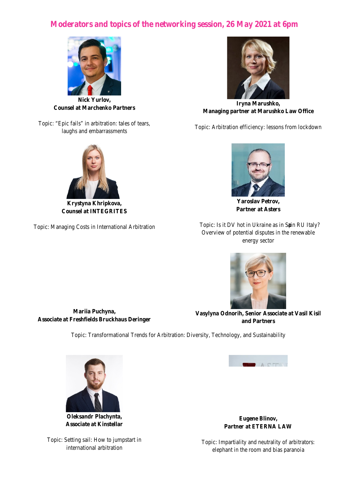

## **Iryna Moroz Partner at AGA Partners, Kyiv**

Iryna Moroz is a recognized expert in the field of international arbitration, international trade, and litigation.

Iryna's extensive expertise in dispute resolution practice includes handling complex commercial and investment arbitrations under the rules of SCC, ICC, ICSID as well as resolution of trade and maritime disputes in GAFTA, FOSFA, LMAA, RSA.

She advises clients on all issues of export contracts execution and international cargo transportation. Iryna handles the contracts of the largest Ukrainian and international trading companies.

She is the first Central and Eastern European lawyer, along with other partners, invited to lecture at GAFTA training and educational courses that deal with issues of international trade, dispute resolution, and shipment of goods under GAFTA arbitration procedures.

Iryna is admitted to the Ukrainian Bar and is member of the Chartered Institute of Arbitrators (MCIArb)



**Tetyana Nesterchuk** 

**Barrister at Fountain Court Chambers, London**

Tetyana is a barrister practicing in England and Wales for over 15 years. She regularly appears as an advocate in arbitrations and the English courts in all instances from the High Court to the Supreme Court. She also has extensive experience of sitting as an arbitrator so knows the rules of the arbitration game both from the trenches and as the tribunal. Her expertise is in general commercial arbitration and litigation focussing specifically on fraud and asset recovery.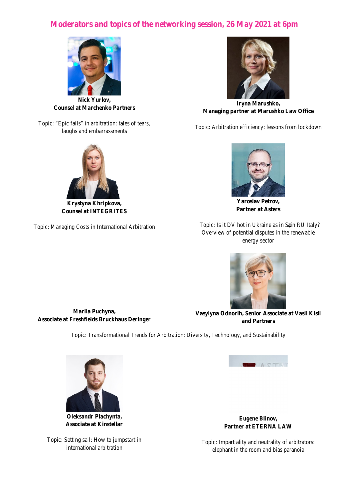

**Gabrielle Nater-Bass Partner at Homburger, Zurich**

With over 20 years of experience, she has acted as party counsel and arbitrator in numerous international commercial arbitration proceedings, ad hoc and institutional. She also regularly represents clients in investment treaty arbitrations and complex cross-border litigations.

Gabrielle Nater-Bass served as president of the Arbitration Court of the Swiss Chambers' Arbitration Institution (SCAI) from 2016 to 2020. She is a board member of the Swiss Arbitration Association (ASA), a member of the LCIA Court and co-chair of the ICCA-ASIL Task Force on Damages in International Arbitration.

Moreover, Gabrielle Nater-Bass is listed on the panel of arbitrators of the ICC national committee (Switzerland), the Hong Kong International Arbitration Centre (HKIAC) and the Singapore International Arbitration Centre (SIAC). She is a member of the SIAC Users Council, the advisory board of ArbitralWomen (former vice president) and the steering committee of the Equal Representation in Arbitration Pledge.

Gabrielle Nater-Bass received the Client Choice Award 2020 in the Switzerland: arbitration and ADR category.

She graduated from the University of Zurich in 1994 and holds an LLM degree from the University of Virginia School of Law. She publishes regularly in the field of international commercial arbitration and investment treaty arbitration.

## **Speakers of Debate: This house believes that a presumption of arbitrations without hearings will make arbitration great again**



**Wendy Miles QC**

**Twenty Essex, London**

Wendy is a specialist in international arbitration and dispute resolution with a focus on private and public international law. She brings over 25 years of

experience to matters across numerous sectors and has particular expertise in climate change and finance. Clients include a wide range of multinationals, including corporates, sovereign States and State entities and multilateral State organisations.

She accepts arbitral appointments ad hoc and under most major arbitral institutions. She has sat as arbitrator since 2005, as sole, co-arbitrator and chair under most major arbitral institutions. Wendy has been appointed by the United Kingdom to the ICSID Panel of arbitrators and ICSID Panel of conciliators effective from 10 November 2020.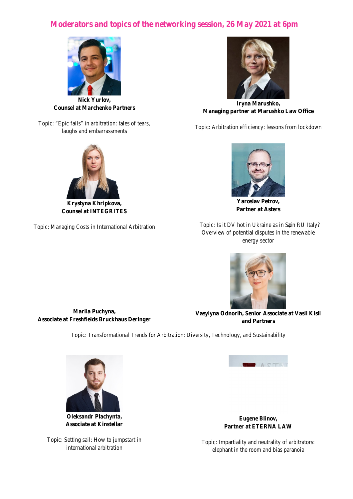

### **Noah Rubins QC**

**Head of the international arbitration group, Freshfields Bruckhaus Deringer, Paris**

Noah also leads the firm's CIS/Russia Dispute Resolution Group. Noah has advised and represented clients in arbitrations under ICSID, ICSID Additional Facility, ICC, AAA, SCC, LCIA, ICAC, and UNCITRAL rules. He specialises in investment arbitration, particularly under the auspices of bilateral investment treaties and the Energy Charter Treaty and has also practiced law in New York, Washington, Houston, and Istanbul. He has served as arbitrator in over 40 cases, including two investment treaty disputes adjudicated under the UNCITRAL Rules and one under the ICSID Rules.

Noah has published widely in the field of arbitration and is a frequent conference speaker. His publications include Investor-State Arbitration (2nd edition, with D. Wallace and B. Sabahi) and International Investment, Political Risk and Dispute Resolution: A Practitioner's Guide (2nd edition, with T. Nektarios Papanastasiou and S. Kinsella).



### **Dr. Patricia Shaughnessy**

### **Professor at Stockholm University, Stockholm**

Patricia Shaughnessy specializes in international disputes and commercial law at Stockholm University, where she created the Master of International Commercial Arbitration Law Program. Until 2019, she served as the Vice-Chair of the Board of the SCC Arbitration Institute, having been a Board member since 2005 and been a member of the drafting committees for the SCC Rules in 2007, 2010 and 2017. She served a government-appointed expert on the legislative committee for the 2019 revisions to the Swedish Arbitration Act.

Patricia acts as an arbitrator, expert, and consultant, and leads projects related to commercial law and dispute resolution in many countries. She is a member of the International Board of the Georgia International Arbitration Centre and the Tehran Regional Arbitration Centre. She has served as a judicial fellow at the US Supreme Court and practiced law for ten years in the US, specialized in commercial law and litigation. She publishes extensively and is a frequent speaker at leading universities and international conferences. For several years she has been listed in the Who's Who Legal International Arbitration and Thought-Leaders lists.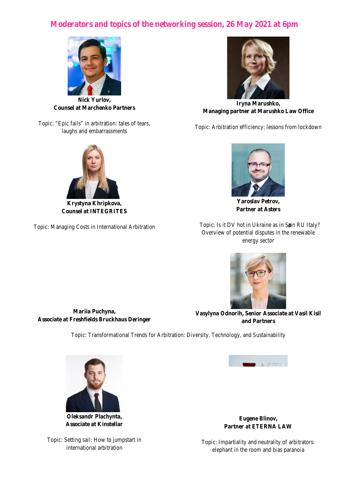### **Speakers of Session 4: Use of illegally obtained documents or materials as evidence in arbitration**



### **Artem Doudko**

**FCIArb, a solicitor-advocate, Partner and Head of Russia & CIS Disputes, London Disputes and Risk Practice, Osborne Clarke LLP, UAA Board Member, London**

Artem focuses on international arbitration and litigation involving Russian and/or CIS issues as well as advising Russian-speaking clients. Artem has a strong reputation and profile in his field and has been recognised as a Global Leader in the Who's Who Legal: Arbitration 2020 directory. Artem is identified as a Next Generation Partner and described as a "sharp-minded litigator" and as "very experienced in Russia and CIS-related arbitrations" in Legal500 UK 2020.

Artem is a member of the Board of the Ukrainian Arbitration Association. Artem is a member of the LCIA Court. Artem is a member of the ICC Commission on Arbitration and ADR representing ICC Russia. Artem is the Vice Chairman of the Board of the Russian Arbitration Association. Artem is a representative of the Anglo-Russian Law Association. Artem is a member of the executive committee of the Russia CIS Arbitration Network. Artem is a founder of "RYUMKA", a member of the London and Moscow committees of the Commercial Litigators' Forum ("CLF"), a member of the organising committee of the London International Disputes Week ("LIDW"), and a member of the Membership Committee of the Silicon Valley Arbitration & Mediation Center ("SVAMC").



**Markiyan Malskiy**

**PhD hab., attorney-at-law, MCIArb, Partner at Arzinger, Kyiv**

Markiyan Malskiy is a Partner, Co-Head of International Litigation and Arbitration Practice, Co-Head of Dispute Resolution Practice at Arzinger Law Firm.

He specializes in legal support of investment projects as well as dispute resolution, including international commercial and investment arbitration. He has vast experience in resolving corporate disputes in the energy sector, contractual disputes, sales and services, real estate & construction disputes, enforcement of foreign judgments and arbitral awards, real estate and M&A transactions. He was engaged in the settlement of over 300 disputes, including under the ICSID, ICC, SCC, UNCITRAL, LCIA and ICAC rules.

He is the author of four books, more than 100 scientific papers and more than 300 articles and commentaries.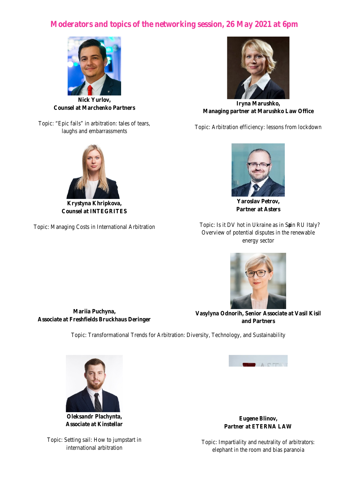

### **Irina Tymczyszyn**

### **Independent arbitrator, London**

Irina Tymczyszyn is an English solicitor-Advocate and an established international arbitration specialist. Over the past 20 years, Irina has acted as counsel and arbitrator in multiple international commercial arbitration proceedings seated around the world. She has considerable experience in multi-jurisdictional cross-border disputes specialising in investment and post-M&A disputes, shareholders' disputes, commodity trading, construction, energy and natural resources disputes.

Irina was qualified as an English solicitor in 2001 and has worked exclusively in the dispute resolution market for international law firms based in the UK and the US. She became a partner of a global US law firm in 2011 and retired from the partnership of a global law firm in February 2019 firm to set up Tymczyszyn Arbitration focussing on her career as a full-time international arbitrator. Irina received her first appointment as arbitrator in 2007 and to date has sat on arbitral panels and as sole arbitrator in a number of international commercial arbitrations under the ICC Rules, LCIA Rules and the SCC Rules.

Irina Tymczyszyn is fluent in English, Ukrainian and Russian, has working knowledge of German, and speaks basic French and Polish.



### **Khawar Qureshi QC**

### **Serle Court London, McNair Chambers, Qatar**

Khawar Qureshi QC specialises in Commercial Litigation, International Arbitration and International Law. He has undertaken arbitrations and litigation for and against commercial and state parties from more than 70 states.

In addition to his practice from Serle Court London, in 2008 together with senior members of the English Bar and the retired Law Lord the late Lord Slynn of Hadley, he established McNair Chambers, the first ever Barristers' chambers outside the UK in the Qatar Financial Centre. Khawar was appointed a Visiting Professor in Commercial Law at London University in 2006, a Deputy High Court Judge (civil) in 2013, a Bencher of Middle Temple in 2014 and was Chairman of TheCityUK Legal Services Group from 2010-2015. He has advised many state and foreign authorities on legislation and procedural reform relating to arbitration and commercial litigation matters.

In the past two years, he is the only advocate ever to have acted both for India, Pakistan and in high profile disputes between the two states in the International Court of Justice. Since 2018, he is the first English QC since 1963 to have been authorised to appear in the Courts of Kenya (for the DPP of Kenya) in the corruption cases against the Deputy Chief Justice Mwilu.